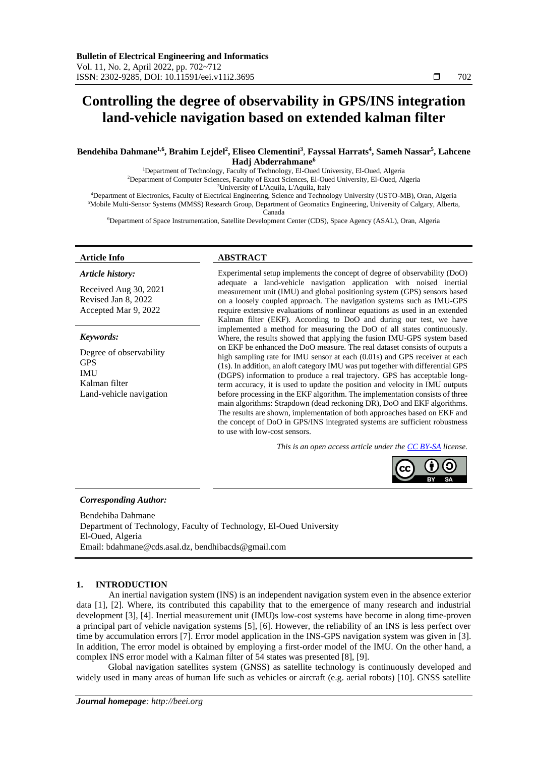# **Controlling the degree of observability in GPS/INS integration land-vehicle navigation based on extended kalman filter**

## Bendehiba Dahmane<sup>1,6</sup>, Brahim Lejdel<sup>2</sup>, Eliseo Clementini<sup>3</sup>, Fayssal Harrats<sup>4</sup>, Sameh Nassar<sup>5</sup>, Lahcene **Hadj Abderrahmane<sup>6</sup>**

<sup>1</sup>Department of Technology, Faculty of Technology, El-Oued University, El-Oued, Algeria <sup>2</sup>Department of Computer Sciences, Faculty of Exact Sciences, El-Oued University, El-Oued, Algeria <sup>3</sup>University of L'Aquila, L'Aquila, Italy

<sup>4</sup>Department of Electronics, Faculty of Electrical Engineering, Science and Technology University (USTO-MB), Oran, Algeria <sup>5</sup>Mobile Multi-Sensor Systems (MMSS) Research Group, Department of Geomatics Engineering, University of Calgary, Alberta, Canada

<sup>6</sup>Department of Space Instrumentation, Satellite Development Center (CDS), Space Agency (ASAL), Oran, Algeria

### *Article history:*

Received Aug 30, 2021 Revised Jan 8, 2022 Accepted Mar 9, 2022

## *Keywords:*

Degree of observability GPS IMU Kalman filter Land-vehicle navigation

## **Article Info ABSTRACT**

Experimental setup implements the concept of degree of observability (DoO) adequate a land-vehicle navigation application with noised inertial measurement unit (IMU) and global positioning system (GPS) sensors based on a loosely coupled approach. The navigation systems such as IMU-GPS require extensive evaluations of nonlinear equations as used in an extended Kalman filter (EKF). According to DoO and during our test, we have implemented a method for measuring the DoO of all states continuously. Where, the results showed that applying the fusion IMU-GPS system based on EKF be enhanced the DoO measure. The real dataset consists of outputs a high sampling rate for IMU sensor at each (0.01s) and GPS receiver at each (1s). In addition, an aloft category IMU was put together with differential GPS (DGPS) information to produce a real trajectory. GPS has acceptable longterm accuracy, it is used to update the position and velocity in IMU outputs before processing in the EKF algorithm. The implementation consists of three main algorithms: Strapdown (dead reckoning DR), DoO and EKF algorithms. The results are shown, implementation of both approaches based on EKF and the concept of DoO in GPS/INS integrated systems are sufficient robustness to use with low-cost sensors.

*This is an open access article under the [CC BY-SA](https://creativecommons.org/licenses/by-sa/4.0/) license.*



#### *Corresponding Author:*

Bendehiba Dahmane Department of Technology, Faculty of Technology, El-Oued University El-Oued, Algeria Email: bdahmane@cds.asal.dz, bendhibacds@gmail.com

## **1. INTRODUCTION**

An inertial navigation system (INS) is an independent navigation system even in the absence exterior data [1], [2]. Where, its contributed this capability that to the emergence of many research and industrial development [3], [4]. Inertial measurement unit (IMU)s low-cost systems have become in along time-proven a principal part of vehicle navigation systems [5], [6]. However, the reliability of an INS is less perfect over time by accumulation errors [7]. Error model application in the INS-GPS navigation system was given in [3]. In addition, The error model is obtained by employing a first-order model of the IMU. On the other hand, a complex INS error model with a Kalman filter of 54 states was presented [8], [9].

Global navigation satellites system (GNSS) as satellite technology is continuously developed and widely used in many areas of human life such as vehicles or aircraft (e.g. aerial robots) [10]. GNSS satellite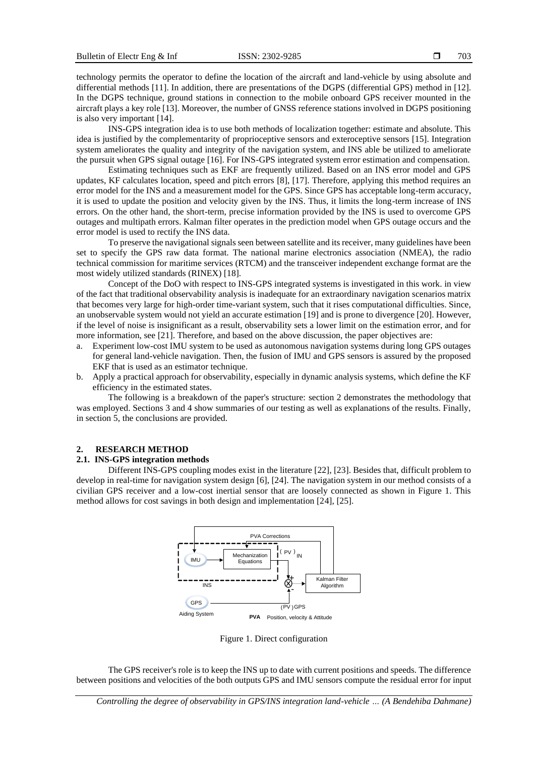technology permits the operator to define the location of the aircraft and land-vehicle by using absolute and differential methods [11]. In addition, there are presentations of the DGPS (differential GPS) method in [12]. In the DGPS technique, ground stations in connection to the mobile onboard GPS receiver mounted in the aircraft plays a key role [13]. Moreover, the number of GNSS reference stations involved in DGPS positioning is also very important [14].

INS-GPS integration idea is to use both methods of localization together: estimate and absolute. This idea is justified by the complementarity of proprioceptive sensors and exteroceptive sensors [15]. Integration system ameliorates the quality and integrity of the navigation system, and INS able be utilized to ameliorate the pursuit when GPS signal outage [16]. For INS-GPS integrated system error estimation and compensation.

Estimating techniques such as EKF are frequently utilized. Based on an INS error model and GPS updates, KF calculates location, speed and pitch errors [8], [17]. Therefore, applying this method requires an error model for the INS and a measurement model for the GPS. Since GPS has acceptable long-term accuracy, it is used to update the position and velocity given by the INS. Thus, it limits the long-term increase of INS errors. On the other hand, the short-term, precise information provided by the INS is used to overcome GPS outages and multipath errors. Kalman filter operates in the prediction model when GPS outage occurs and the error model is used to rectify the INS data.

To preserve the navigational signals seen between satellite and its receiver, many guidelines have been set to specify the GPS raw data format. The national marine electronics association (NMEA), the radio technical commission for maritime services (RTCM) and the transceiver independent exchange format are the most widely utilized standards (RINEX) [18].

Concept of the DoO with respect to INS-GPS integrated systems is investigated in this work. in view of the fact that traditional observability analysis is inadequate for an extraordinary navigation scenarios matrix that becomes very large for high-order time-variant system, such that it rises computational difficulties. Since, an unobservable system would not yield an accurate estimation [19] and is prone to divergence [20]. However, if the level of noise is insignificant as a result, observability sets a lower limit on the estimation error, and for more information, see [21]. Therefore, and based on the above discussion, the paper objectives are:

- a. Experiment low-cost IMU system to be used as autonomous navigation systems during long GPS outages for general land-vehicle navigation. Then, the fusion of IMU and GPS sensors is assured by the proposed EKF that is used as an estimator technique.
- b. Apply a practical approach for observability, especially in dynamic analysis systems, which define the KF efficiency in the estimated states.

The following is a breakdown of the paper's structure: section 2 demonstrates the methodology that was employed. Sections 3 and 4 show summaries of our testing as well as explanations of the results. Finally, in section 5, the conclusions are provided.

## **2. RESEARCH METHOD**

## **2.1. INS-GPS integration methods**

Different INS-GPS coupling modes exist in the literature [22], [23]. Besides that, difficult problem to develop in real-time for navigation system design [6], [24]. The navigation system in our method consists of a civilian GPS receiver and a low-cost inertial sensor that are loosely connected as shown in Figure 1. This method allows for cost savings in both design and implementation [24], [25].



Figure 1. Direct configuration

The GPS receiver's role is to keep the INS up to date with current positions and speeds. The difference between positions and velocities of the both outputs GPS and IMU sensors compute the residual error for input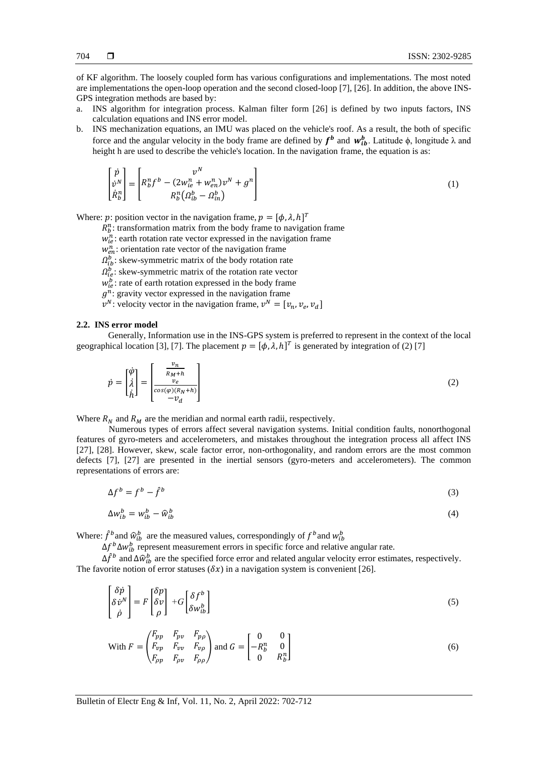of KF algorithm. The loosely coupled form has various configurations and implementations. The most noted are implementations the open-loop operation and the second closed-loop [7], [26]. In addition, the above INS-GPS integration methods are based by:

- a. INS algorithm for integration process. Kalman filter form [26] is defined by two inputs factors, INS calculation equations and INS error model.
- b. INS mechanization equations, an IMU was placed on the vehicle's roof. As a result, the both of specific force and the angular velocity in the body frame are defined by  $f^b$  and  $w_{ib}^b$ . Latitude  $\phi$ , longitude  $\lambda$  and height h are used to describe the vehicle's location. In the navigation frame, the equation is as:

$$
\begin{bmatrix} \dot{p} \\ \dot{v}^N \\ \dot{R}_b^n \end{bmatrix} = \begin{bmatrix} v^N \\ R_b^n f^b - (2w_{ie}^n + w_{en}^n) v^N + g^n \\ R_b^n ( \Omega_{ib}^b - \Omega_{in}^b ) \end{bmatrix}
$$
\n(1)

Where: p: position vector in the navigation frame,  $p = [\phi, \lambda, h]^T$ 

- $R_b^n$ : transformation matrix from the body frame to navigation frame
- $w_{ie}^n$ : earth rotation rate vector expressed in the navigation frame
- $w_{en}^n$ : orientation rate vector of the navigation frame
- $\Omega_{ib}^b$ : skew-symmetric matrix of the body rotation rate
- $\Omega_{ie}^{b}$ : skew-symmetric matrix of the rotation rate vector
- $w_{ie}^b$ : rate of earth rotation expressed in the body frame
- $g^n$ : gravity vector expressed in the navigation frame
- $v^N$ : velocity vector in the navigation frame,  $v^N = [v_n, v_e, v_d]$

#### **2.2. INS error model**

Generally, Information use in the INS-GPS system is preferred to represent in the context of the local geographical location [3], [7]. The placement  $p = [\phi, \lambda, h]^T$  is generated by integration of (2) [7]

$$
\dot{p} = \begin{bmatrix} \dot{\varphi} \\ \dot{\lambda} \\ \dot{h} \end{bmatrix} = \begin{bmatrix} \frac{v_n}{R_M + h} \\ \frac{v_e}{\cos(\varphi)(R_N + h)} \\ -v_d \end{bmatrix}
$$
\n(2)

Where  $R_N$  and  $R_M$  are the meridian and normal earth radii, respectively.

Numerous types of errors affect several navigation systems. Initial condition faults, nonorthogonal features of gyro-meters and accelerometers, and mistakes throughout the integration process all affect INS [27], [28]. However, skew, scale factor error, non-orthogonality, and random errors are the most common defects [7], [27] are presented in the inertial sensors (gyro-meters and accelerometers). The common representations of errors are:

$$
\Delta f^b = f^b - \hat{f}^b \tag{3}
$$

$$
\Delta w_{ib}^b = w_{ib}^b - \widehat{w}_{ib}^b \tag{4}
$$

Where:  $\hat{f}^b$  and  $\hat{w}_{ib}^b$  are the measured values, correspondingly of  $f^b$  and  $w_{ib}^b$ 

 $\Delta f^b \Delta w_{ib}^b$  represent measurement errors in specific force and relative angular rate.

 $\Delta \hat{f}^b$  and  $\Delta \hat{w}_{ib}^b$  are the specified force error and related angular velocity error estimates, respectively. The favorite notion of error statuses  $(\delta x)$  in a navigation system is convenient [26].

$$
\begin{bmatrix} \delta \dot{p} \\ \delta \dot{v}^N \\ \dot{\rho} \end{bmatrix} = F \begin{bmatrix} \delta p \\ \delta v \\ \rho \end{bmatrix} + G \begin{bmatrix} \delta f^b \\ \delta w_{ib}^b \end{bmatrix}
$$
\n(5)

With 
$$
F = \begin{pmatrix} F_{pp} & F_{pv} & F_{p\rho} \\ F_{vp} & F_{vv} & F_{v\rho} \\ F_{\rho p} & F_{\rho v} & F_{\rho \rho} \end{pmatrix}
$$
 and  $G = \begin{bmatrix} 0 & 0 \\ -R_b^n & 0 \\ 0 & R_b^n \end{bmatrix}$  (6)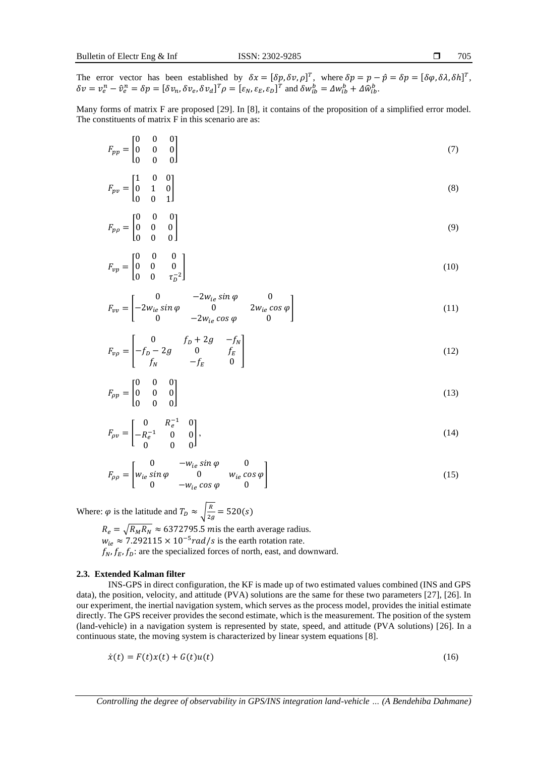705

The error vector has been established by  $\delta x = [\delta p, \delta v, \rho]^T$ , where  $\delta p = p - \hat{p} = \delta p = [\delta \varphi, \delta \lambda, \delta h]^T$ ,  $\delta v = v_e^n - \hat{v}_e^n = \delta p = [\delta v_n, \delta v_e, \delta v_d]^T \rho = [\varepsilon_N, \varepsilon_E, \varepsilon_D]^T$  and  $\delta w_{ib}^b = \Delta w_{ib}^b + \Delta \hat{w}_{ib}^b$ .

Many forms of matrix F are proposed [29]. In [8], it contains of the proposition of a simplified error model. The constituents of matrix F in this scenario are as:

$$
F_{pp} = \begin{bmatrix} 0 & 0 & 0 \\ 0 & 0 & 0 \\ 0 & 0 & 0 \end{bmatrix} \tag{7}
$$

$$
F_{pv} = \begin{bmatrix} 1 & 0 & 0 \\ 0 & 1 & 0 \\ 0 & 0 & 1 \end{bmatrix} \tag{8}
$$

$$
F_{p\rho} = \begin{bmatrix} 0 & 0 & 0 \\ 0 & 0 & 0 \\ 0 & 0 & 0 \end{bmatrix} \tag{9}
$$

$$
F_{vp} = \begin{bmatrix} 0 & 0 & 0 \\ 0 & 0 & 0 \\ 0 & 0 & \tau_D^{-2} \end{bmatrix}
$$
 (10)

$$
F_{vv} = \begin{bmatrix} 0 & -2w_{ie}\sin\varphi & 0\\ -2w_{ie}\sin\varphi & 0 & 2w_{ie}\cos\varphi\\ 0 & -2w_{ie}\cos\varphi & 0 \end{bmatrix}
$$
(11)

$$
F_{\nu\rho} = \begin{bmatrix} 0 & f_D + 2g & -f_N \\ -f_D - 2g & 0 & f_E \\ f_N & -f_E & 0 \end{bmatrix}
$$
 (12)

$$
F_{\rho p} = \begin{bmatrix} 0 & 0 & 0 \\ 0 & 0 & 0 \\ 0 & 0 & 0 \end{bmatrix} \tag{13}
$$

$$
F_{\rho\nu} = \begin{bmatrix} 0 & R_e^{-1} & 0 \\ -R_e^{-1} & 0 & 0 \\ 0 & 0 & 0 \end{bmatrix},\tag{14}
$$

$$
F_{\rho\rho} = \begin{bmatrix} 0 & -w_{ie}\sin\varphi & 0\\ w_{ie}\sin\varphi & 0 & w_{ie}\cos\varphi\\ 0 & -w_{ie}\cos\varphi & 0 \end{bmatrix}
$$
(15)

Where:  $\varphi$  is the latitude and  $T_D \approx \sqrt{\frac{R}{2}}$  $\frac{1}{2g}$  = 520(s)  $R_e = \sqrt{R_M R_N} \approx 6372795.5$  *m* is the earth average radius.  $w_{ie} \approx 7.292115 \times 10^{-5} rad/s$  is the earth rotation rate.  $f_N$ ,  $f_E$ ,  $f_D$ : are the specialized forces of north, east, and downward.

## **2.3. Extended Kalman filter**

INS-GPS in direct configuration, the KF is made up of two estimated values combined (INS and GPS data), the position, velocity, and attitude (PVA) solutions are the same for these two parameters [27], [26]. In our experiment, the inertial navigation system, which serves as the process model, provides the initial estimate directly. The GPS receiver provides the second estimate, which is the measurement. The position of the system (land-vehicle) in a navigation system is represented by state, speed, and attitude (PVA solutions) [26]. In a continuous state, the moving system is characterized by linear system equations [8].

$$
\dot{x}(t) = F(t)x(t) + G(t)u(t) \tag{16}
$$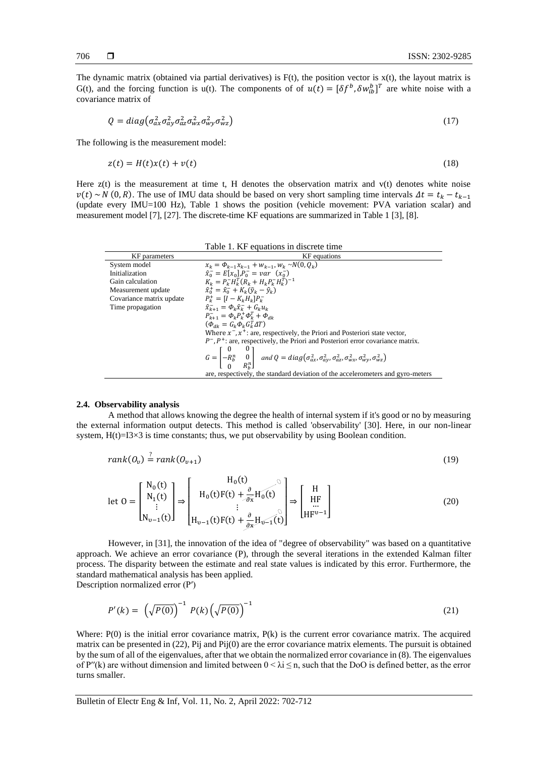The dynamic matrix (obtained via partial derivatives) is  $F(t)$ , the position vector is  $x(t)$ , the layout matrix is G(t), and the forcing function is  $u(t)$ . The components of of  $u(t) = [\delta f^b, \delta w_{ib}^b]^T$  are white noise with a covariance matrix of

$$
Q = diag(\sigma_{ax}^2 \sigma_{ay}^2 \sigma_{ax}^2 \sigma_{wx}^2 \sigma_{wy}^2 \sigma_{wz}^2)
$$
\n(17)

The following is the measurement model:

$$
z(t) = H(t)x(t) + v(t)
$$
\n<sup>(18)</sup>

Here  $z(t)$  is the measurement at time t, H denotes the observation matrix and  $v(t)$  denotes white noise  $v(t) \sim N(0, R)$ . The use of IMU data should be based on very short sampling time intervals  $\Delta t = t_k - t_{k-1}$ (update every IMU=100 Hz), Table 1 shows the position (vehicle movement: PVA variation scalar) and measurement model [7], [27]. The discrete-time KF equations are summarized in Table 1 [3], [8].

|                          | Table 1. KF equations in discrete time                                                                                                                                      |  |  |  |
|--------------------------|-----------------------------------------------------------------------------------------------------------------------------------------------------------------------------|--|--|--|
| KF parameters            | KF equations                                                                                                                                                                |  |  |  |
| System model             | $x_k = \Phi_{k-1} x_{k-1} + w_{k-1}, w_k \sim N(0, Q_k)$                                                                                                                    |  |  |  |
| Initialization           | $\hat{x}_0^- = E[x_0], P_0^- = var(x_0^-)$                                                                                                                                  |  |  |  |
| Gain calculation         | $K_k = P_k^- H_k^T (R_k + H_k P_k^- H_k^T)^{-1}$                                                                                                                            |  |  |  |
| Measurement update       | $\hat{x}_{0}^{+} = \hat{x}_{0}^{-} + K_{\nu}(\tilde{v}_{\nu} - \hat{v}_{\nu})$                                                                                              |  |  |  |
| Covariance matrix update | $P_{\nu}^{+}=[I-K_{\nu}H_{\nu}]P_{\nu}^{-}$                                                                                                                                 |  |  |  |
| Time propagation         | $\hat{x}_{k+1} = \Phi_k \hat{x}_{k} + G_k u_k$                                                                                                                              |  |  |  |
|                          | $P_{\nu+1}^{-} = \Phi_{\nu} P_{\nu}^{+} \Phi_{\nu}^{T} + \Phi_{\mu}$                                                                                                        |  |  |  |
|                          | $(\Phi_{\mu\nu} = G_{\nu} \Phi_{\nu} G_{\nu}^T \Delta T)$                                                                                                                   |  |  |  |
|                          | Where $x^{-}$ , $x^{+}$ : are, respectively, the Priori and Posteriori state vector,                                                                                        |  |  |  |
|                          | $P^-, P^+$ : are, respectively, the Priori and Posteriori error covariance matrix.                                                                                          |  |  |  |
|                          | $G = \begin{bmatrix} 0 & 0 \\ -R_b^n & 0 \\ 0 & R^n \end{bmatrix}$ and $Q = diag(\sigma_{ax}^2, \sigma_{ay}^2, \sigma_{az}^2, \sigma_{wx}^2, \sigma_{wy}^2, \sigma_{wz}^2)$ |  |  |  |
|                          | are, respectively, the standard deviation of the accelerometers and gyro-meters                                                                                             |  |  |  |

## **2.4. Observability analysis**

A method that allows knowing the degree the health of internal system if it's good or no by measuring the external information output detects. This method is called 'observability' [30]. Here, in our non-linear system,  $H(t)=I3\times3$  is time constants; thus, we put observability by using Boolean condition.

$$
rank(O_v) \stackrel{?}{=} rank(O_{v+1})
$$
\n(19)

$$
\text{let } O = \begin{bmatrix} N_0(t) \\ N_1(t) \\ \vdots \\ N_{v-1}(t) \end{bmatrix} \Rightarrow \begin{bmatrix} H_0(t) \\ H_0(t)F(t) + \frac{\partial}{\partial x}H_0(t) \\ \vdots \\ H_{v-1}(t)F(t) + \frac{\partial}{\partial x}H_{v-1}(t) \end{bmatrix} \Rightarrow \begin{bmatrix} H \\ HF \\ HF \\ HF^{v-1} \end{bmatrix}
$$
(20)

However, in [31], the innovation of the idea of "degree of observability" was based on a quantitative approach. We achieve an error covariance (P), through the several iterations in the extended Kalman filter process. The disparity between the estimate and real state values is indicated by this error. Furthermore, the standard mathematical analysis has been applied.

Description normalized error (Pʹ)

$$
P'(k) = \left(\sqrt{P(0)}\right)^{-1} P(k) \left(\sqrt{P(0)}\right)^{-1} \tag{21}
$$

Where: P(0) is the initial error covariance matrix, P(k) is the current error covariance matrix. The acquired matrix can be presented in (22), Pij and Pij(0) are the error covariance matrix elements. The pursuit is obtained by the sum of all of the eigenvalues, after that we obtain the normalized error covariance in (8). The eigenvalues of P''(k) are without dimension and limited between  $0 < \lambda i \leq n$ , such that the DoO is defined better, as the error turns smaller.

Bulletin of Electr Eng & Inf, Vol. 11, No. 2, April 2022: 702-712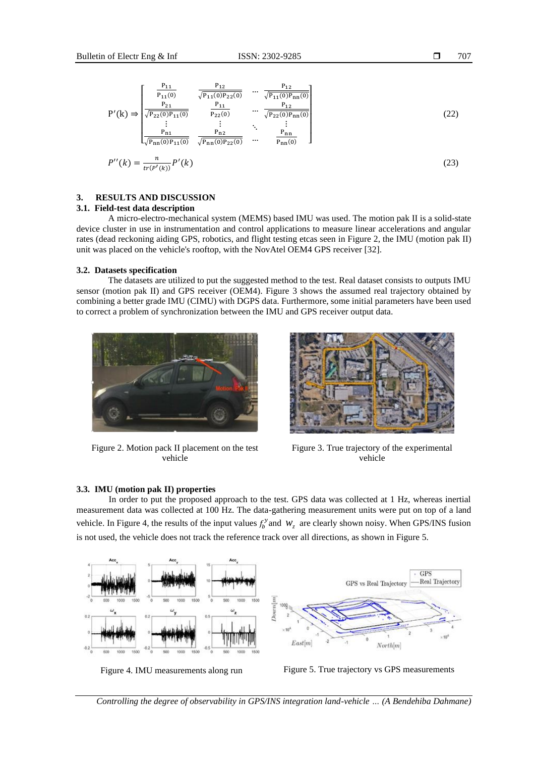$$
P'(k) \Rightarrow \begin{bmatrix} \frac{P_{11}}{P_{11}(0)} & \frac{P_{12}}{\sqrt{P_{11}(0)P_{22}(0)}} & \cdots & \frac{P_{12}}{\sqrt{P_{11}(0)P_{nn}(0)}}\\ \frac{P_{21}}{\sqrt{P_{22}(0)P_{11}(0)}} & \frac{P_{11}}{P_{22}(0)} & \cdots & \frac{P_{12}}{\sqrt{P_{22}(0)P_{nn}(0)}}\\ \vdots & \vdots & \ddots & \vdots\\ \frac{P_{n1}}{\sqrt{P_{nn}(0)P_{11}(0)}} & \frac{P_{n2}}{\sqrt{P_{nn}(0)P_{22}(0)}} & \cdots & \frac{P_{nn}}{P_{nn}(0)} \end{bmatrix}
$$
(22)

$$
P''(k) = \frac{n}{tr(P'(k))} P'(k)
$$
\n(23)

## **3. RESULTS AND DISCUSSION**

## **3.1. Field-test data description**

A micro-electro-mechanical system (MEMS) based IMU was used. The motion pak II is a solid-state device cluster in use in instrumentation and control applications to measure linear accelerations and angular rates (dead reckoning aiding GPS, robotics, and flight testing etcas seen in Figure 2, the IMU (motion pak II) unit was placed on the vehicle's rooftop, with the NovAtel OEM4 GPS receiver [32].

## **3.2. Datasets specification**

The datasets are utilized to put the suggested method to the test. Real dataset consists to outputs IMU sensor (motion pak II) and GPS receiver (OEM4). Figure 3 shows the assumed real trajectory obtained by combining a better grade IMU (CIMU) with DGPS data. Furthermore, some initial parameters have been used to correct a problem of synchronization between the IMU and GPS receiver output data.



Figure 2. Motion pack II placement on the test vehicle



Figure 3. True trajectory of the experimental vehicle

## **3.3. IMU (motion pak II) properties**

In order to put the proposed approach to the test. GPS data was collected at 1 Hz, whereas inertial measurement data was collected at 100 Hz. The data-gathering measurement units were put on top of a land vehicle. In Figure 4, the results of the input values  $f_b^{\gamma}$  and  $W_z$  are clearly shown noisy. When GPS/INS fusion is not used, the vehicle does not track the reference track over all directions, as shown in Figure 5.



Figure 4. IMU measurements along run Figure 5. True trajectory vs GPS measurements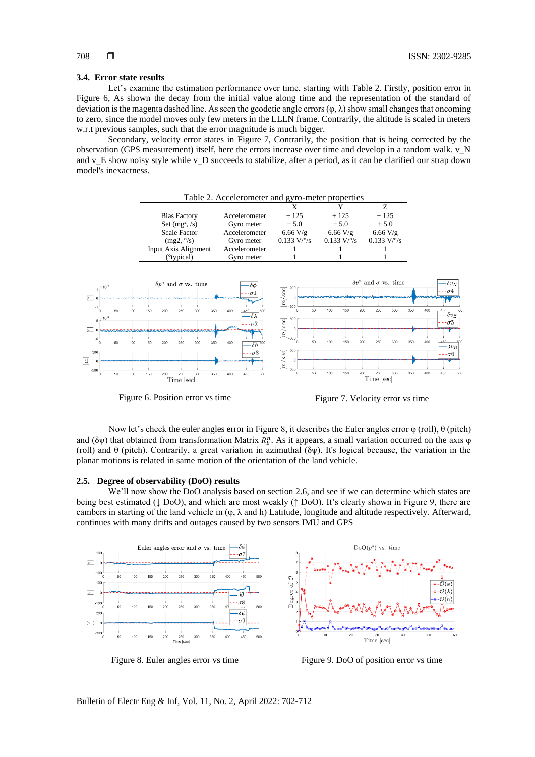#### **3.4. Error state results**

Let's examine the estimation performance over time, starting with Table 2. Firstly, position error in Figure 6, As shown the decay from the initial value along time and the representation of the standard of deviation is the magenta dashed line. As seen the geodetic angle errors  $(\varphi, \lambda)$  show small changes that oncoming to zero, since the model moves only few meters in the LLLN frame. Contrarily, the altitude is scaled in meters w.r.t previous samples, such that the error magnitude is much bigger.

Secondary, velocity error states in Figure 7, Contrarily, the position that is being corrected by the observation (GPS measurement) itself, here the errors increase over time and develop in a random walk. v\_N and v\_E show noisy style while v\_D succeeds to stabilize, after a period, as it can be clarified our strap down model's inexactness.



Figure 6. Position error vs time<br>
Figure 7. Velocity error vs time

Now let's check the euler angles error in Figure 8, it describes the Euler angles error φ (roll), θ (pitch) and ( $\delta \psi$ ) that obtained from transformation Matrix  $R_b^n$ . As it appears, a small variation occurred on the axis  $\varphi$ (roll) and  $\theta$  (pitch). Contrarily, a great variation in azimuthal (δψ). It's logical because, the variation in the planar motions is related in same motion of the orientation of the land vehicle.

### **2.5. Degree of observability (DoO) results**

We'll now show the DoO analysis based on section 2.6, and see if we can determine which states are being best estimated (↓ DoO), and which are most weakly (↑ DoO). It's clearly shown in Figure 9, there are cambers in starting of the land vehicle in  $(\varphi, \lambda \text{ and } h)$  Latitude, longitude and altitude respectively. Afterward, continues with many drifts and outages caused by two sensors IMU and GPS



Figure 8. Euler angles error vs time Figure 9. DoO of position error vs time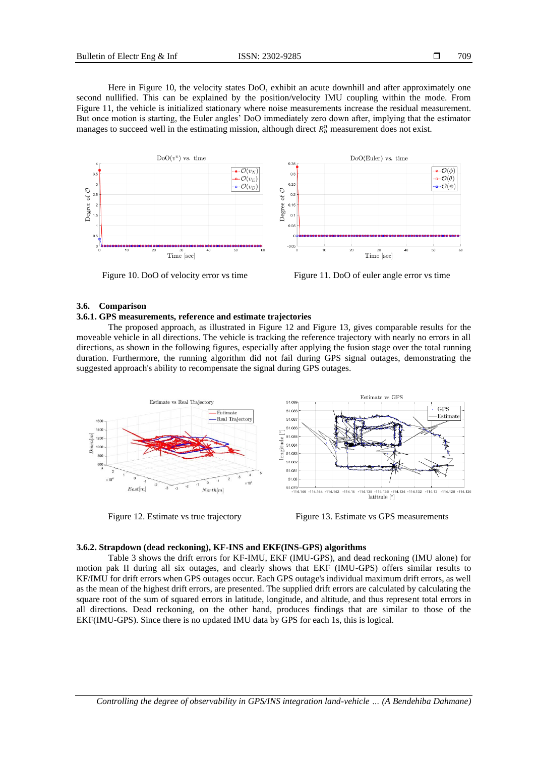Here in Figure 10, the velocity states DoO, exhibit an acute downhill and after approximately one second nullified. This can be explained by the position/velocity IMU coupling within the mode. From Figure 11, the vehicle is initialized stationary where noise measurements increase the residual measurement. But once motion is starting, the Euler angles' DoO immediately zero down after, implying that the estimator manages to succeed well in the estimating mission, although direct  $R_b^n$  measurement does not exist.



Figure 10. DoO of velocity error vs time Figure 11. DoO of euler angle error vs time

## **3.6. Comparison**

#### **3.6.1. GPS measurements, reference and estimate trajectories**

The proposed approach, as illustrated in Figure 12 and Figure 13, gives comparable results for the moveable vehicle in all directions. The vehicle is tracking the reference trajectory with nearly no errors in all directions, as shown in the following figures, especially after applying the fusion stage over the total running duration. Furthermore, the running algorithm did not fail during GPS signal outages, demonstrating the suggested approach's ability to recompensate the signal during GPS outages.



Figure 12. Estimate vs true trajectory Figure 13. Estimate vs GPS measurements

## **3.6.2. Strapdown (dead reckoning), KF-INS and EKF(INS-GPS) algorithms**

Table 3 shows the drift errors for KF-IMU, EKF (IMU-GPS), and dead reckoning (IMU alone) for motion pak II during all six outages, and clearly shows that EKF (IMU-GPS) offers similar results to KF/IMU for drift errors when GPS outages occur. Each GPS outage's individual maximum drift errors, as well as the mean of the highest drift errors, are presented. The supplied drift errors are calculated by calculating the square root of the sum of squared errors in latitude, longitude, and altitude, and thus represent total errors in all directions. Dead reckoning, on the other hand, produces findings that are similar to those of the EKF(IMU-GPS). Since there is no updated IMU data by GPS for each 1s, this is logical.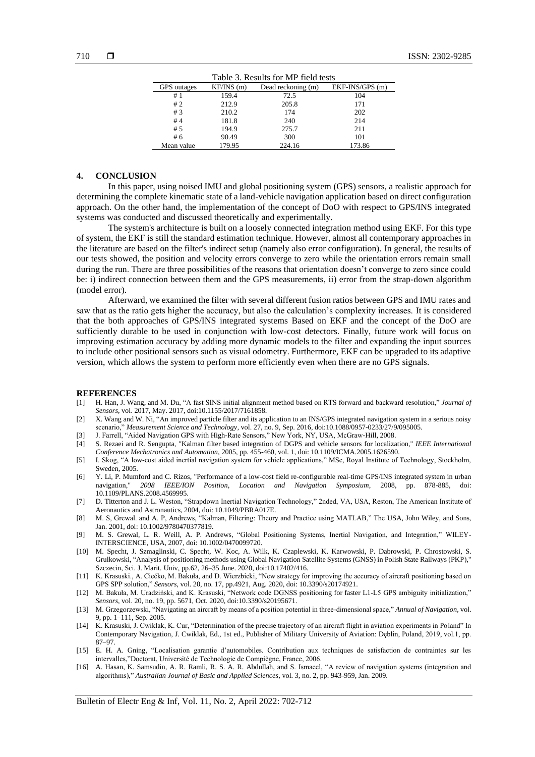| Table 3. Results for MP field tests |           |                    |                  |  |
|-------------------------------------|-----------|--------------------|------------------|--|
| GPS outages                         | KF/INS(m) | Dead reckoning (m) | $EKF-INS/GPS(m)$ |  |
| #1                                  | 159.4     | 72.5               | 104              |  |
| #2                                  | 212.9     | 205.8              | 171              |  |
| #3                                  | 210.2     | 174                | 202              |  |
| #4                                  | 181.8     | 240                | 214              |  |
| #5                                  | 194.9     | 275.7              | 211              |  |
| #6                                  | 90.49     | 300                | 101              |  |
| Mean value                          | 179.95    | 224.16             | 173.86           |  |

## **4. CONCLUSION**

In this paper, using noised IMU and global positioning system (GPS) sensors, a realistic approach for determining the complete kinematic state of a land-vehicle navigation application based on direct configuration approach. On the other hand, the implementation of the concept of DoO with respect to GPS/INS integrated systems was conducted and discussed theoretically and experimentally.

The system's architecture is built on a loosely connected integration method using EKF. For this type of system, the EKF is still the standard estimation technique. However, almost all contemporary approaches in the literature are based on the filter's indirect setup (namely also error configuration). In general, the results of our tests showed, the position and velocity errors converge to zero while the orientation errors remain small during the run. There are three possibilities of the reasons that orientation doesn't converge to zero since could be: i) indirect connection between them and the GPS measurements, ii) error from the strap-down algorithm (model error).

Afterward, we examined the filter with several different fusion ratios between GPS and IMU rates and saw that as the ratio gets higher the accuracy, but also the calculation's complexity increases. It is considered that the both approaches of GPS/INS integrated systems Based on EKF and the concept of the DoO are sufficiently durable to be used in conjunction with low-cost detectors. Finally, future work will focus on improving estimation accuracy by adding more dynamic models to the filter and expanding the input sources to include other positional sensors such as visual odometry. Furthermore, EKF can be upgraded to its adaptive version, which allows the system to perform more efficiently even when there are no GPS signals.

#### **REFERENCES**

- [1] H. Han, J. Wang, and M. Du, "A fast SINS initial alignment method based on RTS forward and backward resolution," *Journal of Sensors*, vol. 2017, May. 2017, doi:10.1155/2017/7161858.
- [2] X. Wang and W. Ni, "An improved particle filter and its application to an INS/GPS integrated navigation system in a serious noisy scenario," *Measurement Science and Technology*, vol. 27, no. 9, Sep. 2016, doi:10.1088/0957-0233/27/9/095005.
- [3] J. Farrell, "Aided Navigation GPS with High-Rate Sensors," New York, NY, USA, McGraw-Hill, 2008.
- [4] S. Rezaei and R. Sengupta, "Kalman filter based integration of DGPS and vehicle sensors for localization," *IEEE International Conference Mechatronics and Automation,* 2005, pp. 455-460, vol. 1, doi: 10.1109/ICMA.2005.1626590.
- [5] I. Skog, "A low-cost aided inertial navigation system for vehicle applications," MSc, Royal Institute of Technology, Stockholm, Sweden, 2005.
- [6] Y. Li, P. Mumford and C. Rizos, "Performance of a low-cost field re-configurable real-time GPS/INS integrated system in urban navigation," *2008 IEEE/ION Position, Location and Navigation Symposium*, 2008, pp. 878-885, doi: 10.1109/PLANS.2008.4569995.
- [7] D. Titterton and J. L. Weston, "Strapdown Inertial Navigation Technology," 2nded, VA, USA, Reston, The American Institute of Aeronautics and Astronautics, 2004, doi: 10.1049/PBRA017E.
- [8] M. S, Grewal. and A. P, Andrews, "Kalman, Filtering: Theory and Practice using MATLAB," The USA, John Wiley, and Sons, Jan. 2001, doi: 10.1002/9780470377819.
- [9] M. S. Grewal, L. R. Weill, A. P. Andrews, "Global Positioning Systems, Inertial Navigation, and Integration," WILEY-INTERSCIENCE, USA, 2007, doi: 10.1002/0470099720.
- [10] M. Specht, J. Szmaglinski, C. Specht, W. Koc, A. Wilk, K. Czaplewski, K. Karwowski, P. Dabrowski, P. Chrostowski, S. Grulkowski, "Analysis of positioning methods using Global Navigation Satellite Systems (GNSS) in Polish State Railways (PKP)," Szczecin, Sci. J. Marit. Univ, pp.62, 26–35 June. 2020, doi:10.17402/416.
- [11] K. Krasuski., A. Ciećko, M. Bakuła, and D. Wierzbicki, "New strategy for improving the accuracy of aircraft positioning based on GPS SPP solution," *Sensors*, vol. 20, no. 17, pp.4921, Aug. 2020, doi: 10.3390/s20174921.
- [12] M. Bakuła, M. Uradziński, and K. Krasuski, "Network code DGNSS positioning for faster L1-L5 GPS ambiguity initialization," *Sensors*, vol. 20, no. 19, pp. 5671, Oct. 2020, doi:10.3390/s20195671.
- [13] M. Grzegorzewski, "Navigating an aircraft by means of a position potential in three-dimensional space," *Annual of Navigation*, vol. 9, pp. 1–111, Sep. 2005.
- [14] K. Krasuski, J. Cwiklak, K. Cur, "Determination of the precise trajectory of an aircraft flight in aviation experiments in Poland" In Contemporary Navigation, J. Cwiklak, Ed., 1st ed., Publisher of Military University of Aviation: Dęblin, Poland, 2019, vol.1, pp. 87–97.
- [15] E. H. A. Gning, "Localisation garantie d'automobiles. Contribution aux techniques de satisfaction de contraintes sur les intervalles,"Doctorat, Université de Technologie de Compiègne, France, 2006.
- [16] A. Hasan, K. Samsudin, A. R. Ramli, R. S. A. R. Abdullah, and S. Ismaeel, "A review of navigation systems (integration and algorithms)," *Australian Journal of Basic and Applied Sciences*, vol. 3, no. 2, pp. 943-959, Jan. 2009.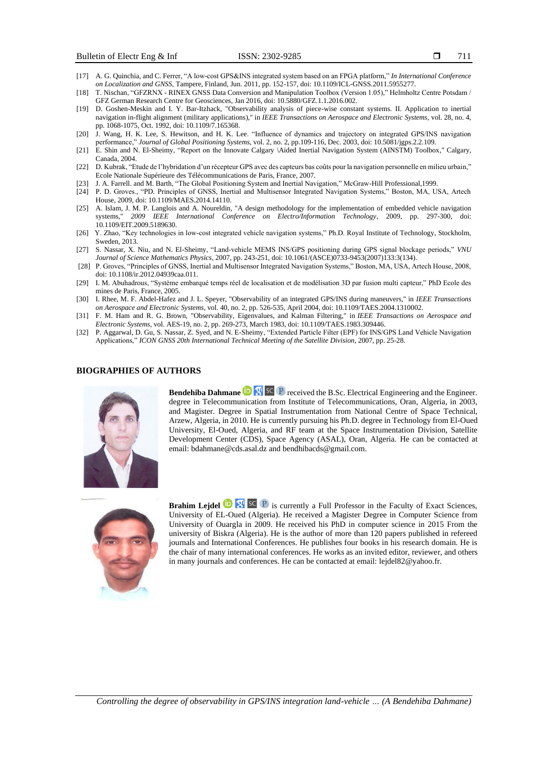- [17] A. G. Quinchia, and C. Ferrer, "A low-cost GPS&INS integrated system based on an FPGA platform," *In International Conference on Localization and GNSS*, Tampere, Finland, Jun. 2011, pp. 152-157, doi: 10.1109/ICL-GNSS.2011.5955277.
- [18] T. Nischan, "GFZRNX RINEX GNSS Data Conversion and Manipulation Toolbox (Version 1.05)," Helmholtz Centre Potsdam / GFZ German Research Centre for Geosciences, Jan 2016, doi: 10.5880/GFZ.1.1.2016.002.
- [19] D. Goshen-Meskin and I. Y. Bar-Itzhack, "Observability analysis of piece-wise constant systems. II. Application to inertial navigation in-flight alignment (military applications)," in *IEEE Transactions on Aerospace and Electronic Systems*, vol. 28, no. 4, pp. 1068-1075, Oct. 1992, doi: 10.1109/7.165368.
- [20] J. Wang, H. K. Lee, S. Hewitson, and H. K. Lee. "Influence of dynamics and trajectory on integrated GPS/INS navigation performance," *Journal of Global Positioning Systems*, vol. 2, no. 2, pp.109-116, Dec. 2003, doi: 10.5081/jgps.2.2.109.
- [21] E. Shin and N. El-Sheimy, "Report on the Innovate Calgary \Aided Inertial Navigation System (AINSTM) Toolbox," Calgary, Canada, 2004.
- [22] D. Kubrak, "Etude de l'hybridation d'un récepteur GPS avec des capteurs bas coûts pour la navigation personnelle en milieu urbain," Ecole Nationale Supérieure des Télécommunications de Paris, France, 2007.
- [23] J. A. Farrell. and M. Barth, "The Global Positioning System and Inertial Navigation," McGraw-Hill Professional,1999.
- [24] P. D. Groves., "PD. Principles of GNSS, Inertial and Multisensor Integrated Navigation Systems," Boston, MA, USA, Artech House, 2009, doi: 10.1109/MAES.2014.14110.
- [25] A. Islam, J. M. P. Langlois and A. Noureldin, "A design methodology for the implementation of embedded vehicle navigation systems," *2009 IEEE International Conference on Electro/Information Technology*, 2009, pp. 297-300, 10.1109/EIT.2009.5189630.
- [26] Y. Zhao, "Key technologies in low-cost integrated vehicle navigation systems," Ph.D. Royal Institute of Technology, Stockholm, Sweden, 2013.
- [27] S. Nassar, X. Niu, and N. El-Sheimy, "Land-vehicle MEMS INS/GPS positioning during GPS signal blockage periods," *VNU Journal of Science Mathematics Physics*, 2007, pp. 243-251, doi: 10.1061/(ASCE)0733-9453(2007)133:3(134).
- [28] P. Groves, "Principles of GNSS, Inertial and Multisensor Integrated Navigation Systems," Boston, MA, USA, Artech House, 2008, doi: 10.1108/ir.2012.04939caa.011.
- [29] I. M. Abuhadrous, "Système embarqué temps réel de localisation et de modélisation 3D par fusion multi capteur," PhD Ecole des mines de Paris, France, 2005.
- [30] I. Rhee, M. F. Abdel-Hafez and J. L. Speyer, "Observability of an integrated GPS/INS during maneuvers," in *IEEE Transactions on Aerospace and Electronic Systems*, vol. 40, no. 2, pp. 526-535, April 2004, doi: 10.1109/TAES.2004.1310002.
- [31] F. M. Ham and R. G. Brown, "Observability, Eigenvalues, and Kalman Filtering," in *IEEE Transactions on Aerospace and Electronic Systems*, vol. AES-19, no. 2, pp. 269-273, March 1983, doi: 10.1109/TAES.1983.309446.
- [32] P. Aggarwal, D. Gu, S. Nassar, Z. Syed, and N. E-Sheimy, "Extended Particle Filter (EPF) for INS/GPS Land Vehicle Navigation Applications," *ICON GNSS 20th International Technical Meeting of the Satellite Division,* 2007, pp. 25-28.

## **BIOGRAPHIES OF AUTHORS**



**Bendehiba Dahmane D SC P** received the B.Sc. Electrical Engineering and the Engineer. degree in Telecommunication from Institute of Telecommunications, Oran, Algeria, in 2003, and Magister. Degree in Spatial Instrumentation from National Centre of Space Technical, Arzew, Algeria, in 2010. He is currently pursuing his Ph.D. degree in Technology from El-Oued University, El-Oued, Algeria, and RF team at the Space Instrumentation Division, Satellite Development Center (CDS), Space Agency (ASAL), Oran, Algeria. He can be contacted at email: bdahmane@cds.asal.dz and bendhibacds@gmail.com.



**Brahim Lejdel <b>is** SC P is currently a Full Professor in the Faculty of Exact Sciences, University of EL-Oued (Algeria). He received a Magister Degree in Computer Science from University of Ouargla in 2009. He received his PhD in computer science in 2015 From the university of Biskra (Algeria). He is the author of more than 120 papers published in refereed journals and International Conferences. He publishes four books in his research domain. He is the chair of many international conferences. He works as an invited editor, reviewer, and others in many journals and conferences. He can be contacted at email: lejdel82@yahoo.fr.